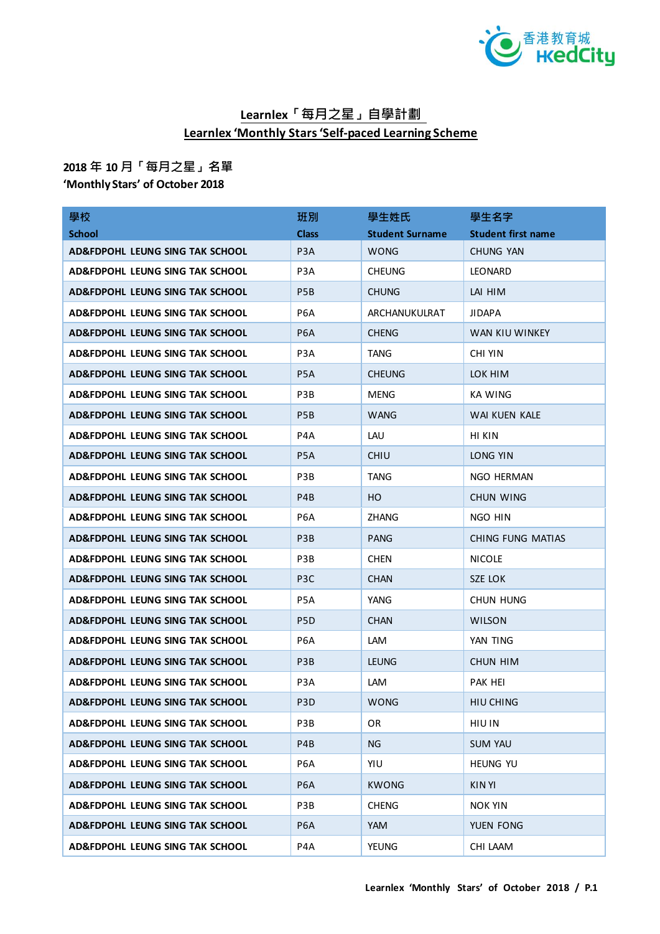

## **Learnlex「每月之星」自學計劃 Learnlex 'Monthly Stars 'Self-paced Learning Scheme**

## **2018 年 10 月「每月之星」名單**

## **'Monthly Stars' of October 2018**

| 學校                              | 班別               | 學生姓氏                   | 學生名字                      |
|---------------------------------|------------------|------------------------|---------------------------|
| <b>School</b>                   | <b>Class</b>     | <b>Student Surname</b> | <b>Student first name</b> |
| AD&FDPOHL LEUNG SING TAK SCHOOL | P <sub>3</sub> A | <b>WONG</b>            | CHUNG YAN                 |
| AD&FDPOHL LEUNG SING TAK SCHOOL | P3A              | <b>CHEUNG</b>          | <b>LEONARD</b>            |
| AD&FDPOHL LEUNG SING TAK SCHOOL | P <sub>5</sub> B | <b>CHUNG</b>           | LAI HIM                   |
| AD&FDPOHL LEUNG SING TAK SCHOOL | P6A              | ARCHANUKULRAT          | <b>JIDAPA</b>             |
| AD&FDPOHL LEUNG SING TAK SCHOOL | P <sub>6</sub> A | <b>CHENG</b>           | WAN KIU WINKEY            |
| AD&FDPOHL LEUNG SING TAK SCHOOL | P3A              | <b>TANG</b>            | <b>CHI YIN</b>            |
| AD&FDPOHL LEUNG SING TAK SCHOOL | P5A              | <b>CHEUNG</b>          | LOK HIM                   |
| AD&FDPOHL LEUNG SING TAK SCHOOL | P3B              | <b>MENG</b>            | KA WING                   |
| AD&FDPOHL LEUNG SING TAK SCHOOL | P <sub>5</sub> B | <b>WANG</b>            | WAI KUEN KALE             |
| AD&FDPOHL LEUNG SING TAK SCHOOL | P4A              | LAU                    | HI KIN                    |
| AD&FDPOHL LEUNG SING TAK SCHOOL | P <sub>5</sub> A | <b>CHIU</b>            | LONG YIN                  |
| AD&FDPOHL LEUNG SING TAK SCHOOL | P3B              | <b>TANG</b>            | NGO HERMAN                |
| AD&FDPOHL LEUNG SING TAK SCHOOL | P <sub>4</sub> B | HO                     | CHUN WING                 |
| AD&FDPOHL LEUNG SING TAK SCHOOL | P6A              | <b>ZHANG</b>           | NGO HIN                   |
| AD&FDPOHL LEUNG SING TAK SCHOOL | P <sub>3</sub> B | <b>PANG</b>            | CHING FUNG MATIAS         |
| AD&FDPOHL LEUNG SING TAK SCHOOL | P3B              | <b>CHEN</b>            | <b>NICOLE</b>             |
| AD&FDPOHL LEUNG SING TAK SCHOOL | P <sub>3</sub> C | <b>CHAN</b>            | SZE LOK                   |
| AD&FDPOHL LEUNG SING TAK SCHOOL | P5A              | YANG                   | CHUN HUNG                 |
| AD&FDPOHL LEUNG SING TAK SCHOOL | P5D              | <b>CHAN</b>            | <b>WILSON</b>             |
| AD&FDPOHL LEUNG SING TAK SCHOOL | P6A              | <b>LAM</b>             | YAN TING                  |
| AD&FDPOHL LEUNG SING TAK SCHOOL | P3B              | <b>LEUNG</b>           | CHUN HIM                  |
| AD&FDPOHL LEUNG SING TAK SCHOOL | P3A              | <b>LAM</b>             | PAK HEI                   |
| AD&FDPOHL LEUNG SING TAK SCHOOL | P <sub>3</sub> D | <b>WONG</b>            | HIU CHING                 |
| AD&FDPOHL LEUNG SING TAK SCHOOL | P3B              | OR                     | <b>HIU IN</b>             |
| AD&FDPOHL LEUNG SING TAK SCHOOL | P4B              | NG.                    | <b>SUM YAU</b>            |
| AD&FDPOHL LEUNG SING TAK SCHOOL | P6A              | YIU                    | <b>HEUNG YU</b>           |
| AD&FDPOHL LEUNG SING TAK SCHOOL | P <sub>6</sub> A | <b>KWONG</b>           | KIN YI                    |
| AD&FDPOHL LEUNG SING TAK SCHOOL | P3B              | <b>CHENG</b>           | NOK YIN                   |
| AD&FDPOHL LEUNG SING TAK SCHOOL | P6A              | YAM                    | YUEN FONG                 |
| AD&FDPOHL LEUNG SING TAK SCHOOL | P4A              | YEUNG                  | CHI LAAM                  |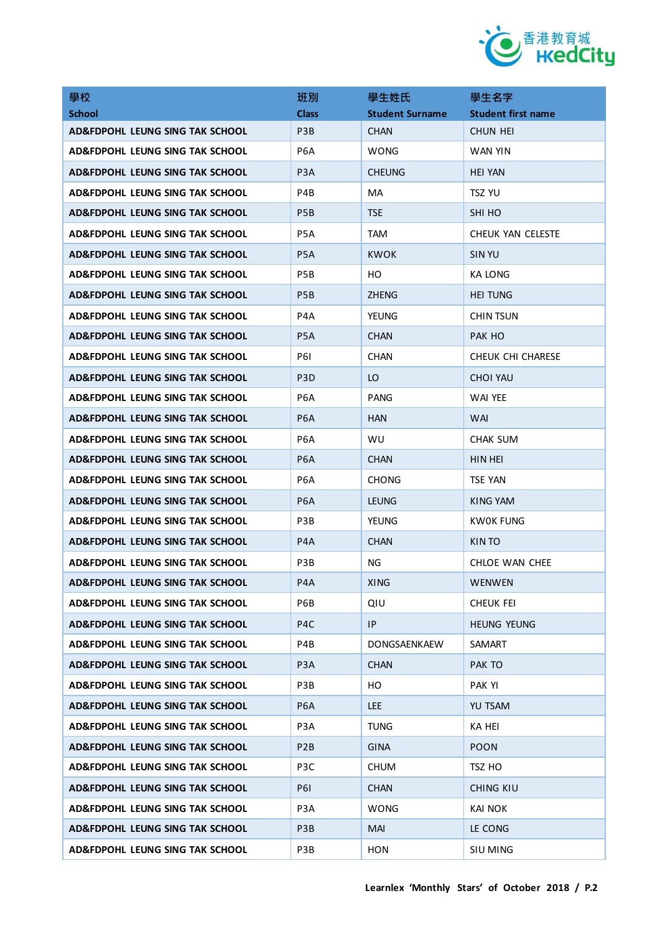

| 學校                              | 班別               | 學生姓氏                   | 學生名字                      |
|---------------------------------|------------------|------------------------|---------------------------|
| <b>School</b>                   | <b>Class</b>     | <b>Student Surname</b> | <b>Student first name</b> |
| AD&FDPOHL LEUNG SING TAK SCHOOL | P <sub>3</sub> B | <b>CHAN</b>            | CHUN HEI                  |
| AD&FDPOHL LEUNG SING TAK SCHOOL | P <sub>6</sub> A | <b>WONG</b>            | WAN YIN                   |
| AD&FDPOHL LEUNG SING TAK SCHOOL | P <sub>3</sub> A | <b>CHEUNG</b>          | <b>HEI YAN</b>            |
| AD&FDPOHL LEUNG SING TAK SCHOOL | P4B              | MA                     | <b>TSZ YU</b>             |
| AD&FDPOHL LEUNG SING TAK SCHOOL | P <sub>5</sub> B | <b>TSE</b>             | SHI HO                    |
| AD&FDPOHL LEUNG SING TAK SCHOOL | P <sub>5</sub> A | <b>TAM</b>             | CHEUK YAN CELESTE         |
| AD&FDPOHL LEUNG SING TAK SCHOOL | P <sub>5</sub> A | KWOK                   | SIN YU                    |
| AD&FDPOHL LEUNG SING TAK SCHOOL | P <sub>5</sub> B | HO.                    | KA LONG                   |
| AD&FDPOHL LEUNG SING TAK SCHOOL | P <sub>5</sub> B | <b>ZHENG</b>           | <b>HEI TUNG</b>           |
| AD&FDPOHL LEUNG SING TAK SCHOOL | P4A              | <b>YEUNG</b>           | CHIN TSUN                 |
| AD&FDPOHL LEUNG SING TAK SCHOOL | P <sub>5</sub> A | CHAN                   | PAK HO                    |
| AD&FDPOHL LEUNG SING TAK SCHOOL | <b>P61</b>       | <b>CHAN</b>            | CHEUK CHI CHARESE         |
| AD&FDPOHL LEUNG SING TAK SCHOOL | P <sub>3</sub> D | LO                     | <b>CHOI YAU</b>           |
| AD&FDPOHL LEUNG SING TAK SCHOOL | P <sub>6</sub> A | PANG                   | WAI YEE                   |
| AD&FDPOHL LEUNG SING TAK SCHOOL | P <sub>6</sub> A | <b>HAN</b>             | <b>WAI</b>                |
| AD&FDPOHL LEUNG SING TAK SCHOOL | P6A              | WU                     | CHAK SUM                  |
| AD&FDPOHL LEUNG SING TAK SCHOOL | P <sub>6</sub> A | <b>CHAN</b>            | HIN HEI                   |
| AD&FDPOHL LEUNG SING TAK SCHOOL | P6A              | <b>CHONG</b>           | <b>TSE YAN</b>            |
| AD&FDPOHL LEUNG SING TAK SCHOOL | P <sub>6</sub> A | <b>LEUNG</b>           | KING YAM                  |
| AD&FDPOHL LEUNG SING TAK SCHOOL | P3B              | <b>YEUNG</b>           | KW0K FUNG                 |
| AD&FDPOHL LEUNG SING TAK SCHOOL | P <sub>4</sub> A | <b>CHAN</b>            | KIN TO                    |
| AD&FDPOHL LEUNG SING TAK SCHOOL | P3B              | ΝG                     | CHLOE WAN CHEE            |
| AD&FDPOHL LEUNG SING TAK SCHOOL | P <sub>4</sub> A | XING                   | WENWEN                    |
| AD&FDPOHL LEUNG SING TAK SCHOOL | P6B              | QIU                    | CHEUK FEI                 |
| AD&FDPOHL LEUNG SING TAK SCHOOL | P4C              | IP                     | <b>HEUNG YEUNG</b>        |
| AD&FDPOHL LEUNG SING TAK SCHOOL | P4B              | DONGSAENKAEW           | SAMART                    |
| AD&FDPOHL LEUNG SING TAK SCHOOL | P <sub>3</sub> A | <b>CHAN</b>            | PAK TO                    |
| AD&FDPOHL LEUNG SING TAK SCHOOL | P3B              | HO                     | PAK YI                    |
| AD&FDPOHL LEUNG SING TAK SCHOOL | P <sub>6</sub> A | <b>LEE</b>             | YU TSAM                   |
| AD&FDPOHL LEUNG SING TAK SCHOOL | P <sub>3</sub> A | <b>TUNG</b>            | <b>KA HEI</b>             |
| AD&FDPOHL LEUNG SING TAK SCHOOL | P <sub>2</sub> B | <b>GINA</b>            | <b>POON</b>               |
| AD&FDPOHL LEUNG SING TAK SCHOOL | P3C              | <b>CHUM</b>            | TSZ HO                    |
| AD&FDPOHL LEUNG SING TAK SCHOOL | <b>P61</b>       | CHAN                   | CHING KIU                 |
| AD&FDPOHL LEUNG SING TAK SCHOOL | P <sub>3</sub> A | <b>WONG</b>            | <b>KAI NOK</b>            |
| AD&FDPOHL LEUNG SING TAK SCHOOL | P3B              | MAI                    | LE CONG                   |
| AD&FDPOHL LEUNG SING TAK SCHOOL | P3B              | <b>HON</b>             | SIU MING                  |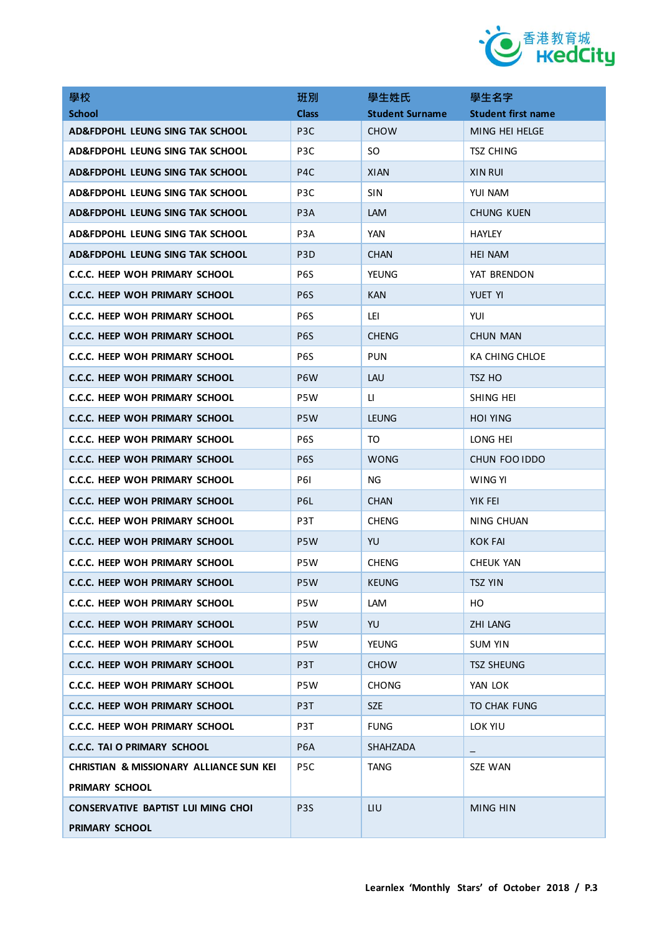

| 學校                                                 | 班別               | 學生姓氏                   | 學生名字                      |
|----------------------------------------------------|------------------|------------------------|---------------------------|
| <b>School</b>                                      | <b>Class</b>     | <b>Student Surname</b> | <b>Student first name</b> |
| AD&FDPOHL LEUNG SING TAK SCHOOL                    | P <sub>3</sub> C | <b>CHOW</b>            | MING HEI HELGE            |
| AD&FDPOHL LEUNG SING TAK SCHOOL                    | P <sub>3</sub> C | SO.                    | <b>TSZ CHING</b>          |
| AD&FDPOHL LEUNG SING TAK SCHOOL                    | P <sub>4</sub> C | <b>XIAN</b>            | <b>XIN RUI</b>            |
| AD&FDPOHL LEUNG SING TAK SCHOOL                    | P <sub>3</sub> C | <b>SIN</b>             | YUI NAM                   |
| AD&FDPOHL LEUNG SING TAK SCHOOL                    | P <sub>3</sub> A | LAM                    | CHUNG KUEN                |
| AD&FDPOHL LEUNG SING TAK SCHOOL                    | P <sub>3</sub> A | <b>YAN</b>             | <b>HAYLEY</b>             |
| AD&FDPOHL LEUNG SING TAK SCHOOL                    | P <sub>3</sub> D | <b>CHAN</b>            | <b>HEI NAM</b>            |
| C.C.C. HEEP WOH PRIMARY SCHOOL                     | P6S              | <b>YEUNG</b>           | YAT BRENDON               |
| <b>C.C.C. HEEP WOH PRIMARY SCHOOL</b>              | P <sub>6</sub> S | <b>KAN</b>             | YUET YI                   |
| <b>C.C.C. HEEP WOH PRIMARY SCHOOL</b>              | P6S              | lei.                   | YUI                       |
| <b>C.C.C. HEEP WOH PRIMARY SCHOOL</b>              | P <sub>6</sub> S | <b>CHENG</b>           | <b>CHUN MAN</b>           |
| <b>C.C.C. HEEP WOH PRIMARY SCHOOL</b>              | P6S              | <b>PUN</b>             | <b>KA CHING CHLOE</b>     |
| C.C.C. HEEP WOH PRIMARY SCHOOL                     | P <sub>6</sub> W | <b>LAU</b>             | TSZ HO                    |
| <b>C.C.C. HEEP WOH PRIMARY SCHOOL</b>              | P5W              | u                      | SHING HEI                 |
| <b>C.C.C. HEEP WOH PRIMARY SCHOOL</b>              | P <sub>5</sub> W | <b>LEUNG</b>           | <b>HOI YING</b>           |
| <b>C.C.C. HEEP WOH PRIMARY SCHOOL</b>              | P <sub>6</sub> S | TO                     | Long hei                  |
| C.C.C. HEEP WOH PRIMARY SCHOOL                     | P <sub>6</sub> S | <b>WONG</b>            | CHUN FOO IDDO             |
| <b>C.C.C. HEEP WOH PRIMARY SCHOOL</b>              | P61              | NG                     | WING YI                   |
| C.C.C. HEEP WOH PRIMARY SCHOOL                     | P6L              | <b>CHAN</b>            | YIK FEI                   |
| <b>C.C.C. HEEP WOH PRIMARY SCHOOL</b>              | P3T              | <b>CHENG</b>           | NING CHUAN                |
| C.C.C. HEEP WOH PRIMARY SCHOOL                     | P <sub>5</sub> W | YU                     | KOK FAI                   |
| <b>C.C.C. HEEP WOH PRIMARY SCHOOL</b>              | P5W              | <b>CHENG</b>           | CHEUK YAN                 |
| <b>C.C.C. HEEP WOH PRIMARY SCHOOL</b>              | P5W              | <b>KEUNG</b>           | <b>TSZ YIN</b>            |
| C.C.C. HEEP WOH PRIMARY SCHOOL                     | P5W              | LAM                    | HO.                       |
| <b>C.C.C. HEEP WOH PRIMARY SCHOOL</b>              | P5W              | YU                     | <b>ZHI LANG</b>           |
| C.C.C. HEEP WOH PRIMARY SCHOOL                     | P5W              | YEUNG                  | <b>SUM YIN</b>            |
| <b>C.C.C. HEEP WOH PRIMARY SCHOOL</b>              | P3T              | <b>CHOW</b>            | <b>TSZ SHEUNG</b>         |
| <b>C.C.C. HEEP WOH PRIMARY SCHOOL</b>              | P5W              | <b>CHONG</b>           | YAN LOK                   |
| <b>C.C.C. HEEP WOH PRIMARY SCHOOL</b>              | P3T              | SZE                    | TO CHAK FUNG              |
| C.C.C. HEEP WOH PRIMARY SCHOOL                     | P3T              | <b>FUNG</b>            | LOK YIU                   |
| <b>C.C.C. TAI O PRIMARY SCHOOL</b>                 | P6A              | SHAHZADA               |                           |
| <b>CHRISTIAN &amp; MISSIONARY ALLIANCE SUN KEI</b> | P <sub>5</sub> C | <b>TANG</b>            | SZE WAN                   |
| PRIMARY SCHOOL                                     |                  |                        |                           |
| CONSERVATIVE BAPTIST LUI MING CHOI                 | P <sub>3</sub> S | LIU                    | MING HIN                  |
| PRIMARY SCHOOL                                     |                  |                        |                           |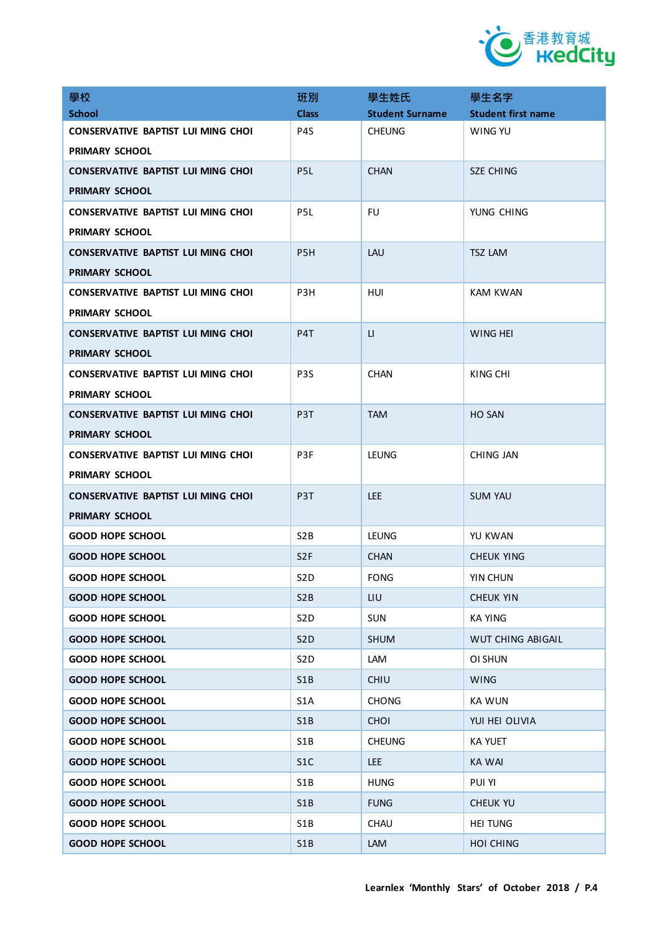

| 學校                                        | 班別               | 學生姓氏                   | 學生名字                      |
|-------------------------------------------|------------------|------------------------|---------------------------|
| <b>School</b>                             | <b>Class</b>     | <b>Student Surname</b> | <b>Student first name</b> |
| CONSERVATIVE BAPTIST LUI MING CHOI        | P4S              | <b>CHEUNG</b>          | WING YU                   |
| <b>PRIMARY SCHOOL</b>                     |                  |                        |                           |
| <b>CONSERVATIVE BAPTIST LUI MING CHOI</b> | P <sub>5</sub> L | <b>CHAN</b>            | <b>SZE CHING</b>          |
| PRIMARY SCHOOL                            |                  |                        |                           |
| CONSERVATIVE BAPTIST LUI MING CHOI        | P <sub>5</sub> L | FU.                    | YUNG CHING                |
| <b>PRIMARY SCHOOL</b>                     |                  |                        |                           |
| <b>CONSERVATIVE BAPTIST LUI MING CHOI</b> | P <sub>5</sub> H | LAU                    | <b>TSZ LAM</b>            |
| PRIMARY SCHOOL                            |                  |                        |                           |
| <b>CONSERVATIVE BAPTIST LUI MING CHOI</b> | P <sub>3</sub> H | HUI                    | <b>KAM KWAN</b>           |
| <b>PRIMARY SCHOOL</b>                     |                  |                        |                           |
| <b>CONSERVATIVE BAPTIST LUI MING CHOI</b> | P4T              | $\mathsf{L}$           | WING HEI                  |
| <b>PRIMARY SCHOOL</b>                     |                  |                        |                           |
| <b>CONSERVATIVE BAPTIST LUI MING CHOI</b> | P <sub>3</sub> S | <b>CHAN</b>            | KING CHI                  |
| <b>PRIMARY SCHOOL</b>                     |                  |                        |                           |
| <b>CONSERVATIVE BAPTIST LUI MING CHOI</b> | P <sub>3</sub> T | <b>TAM</b>             | <b>HO SAN</b>             |
| <b>PRIMARY SCHOOL</b>                     |                  |                        |                           |
| CONSERVATIVE BAPTIST LUI MING CHOI        | P <sub>3F</sub>  | LEUNG                  | CHING JAN                 |
| <b>PRIMARY SCHOOL</b>                     |                  |                        |                           |
| <b>CONSERVATIVE BAPTIST LUI MING CHOI</b> | P3T              | <b>LEE</b>             | <b>SUM YAU</b>            |
| PRIMARY SCHOOL                            |                  |                        |                           |
| <b>GOOD HOPE SCHOOL</b>                   | S <sub>2</sub> B | LEUNG                  | YU KWAN                   |
| <b>GOOD HOPE SCHOOL</b>                   | S <sub>2F</sub>  | <b>CHAN</b>            | CHEUK YING                |
| <b>GOOD HOPE SCHOOL</b>                   | S <sub>2</sub> D | <b>FONG</b>            | YIN CHUN                  |
| <b>GOOD HOPE SCHOOL</b>                   | S <sub>2</sub> B | LIU                    | <b>CHEUK YIN</b>          |
| <b>GOOD HOPE SCHOOL</b>                   | S <sub>2</sub> D | <b>SUN</b>             | <b>KA YING</b>            |
| <b>GOOD HOPE SCHOOL</b>                   | S <sub>2</sub> D | <b>SHUM</b>            | WUT CHING ABIGAIL         |
| <b>GOOD HOPE SCHOOL</b>                   | S <sub>2</sub> D | LAM                    | OI SHUN                   |
| <b>GOOD HOPE SCHOOL</b>                   | S1B              | <b>CHIU</b>            | <b>WING</b>               |
| <b>GOOD HOPE SCHOOL</b>                   | S <sub>1</sub> A | <b>CHONG</b>           | <b>KA WUN</b>             |
| <b>GOOD HOPE SCHOOL</b>                   | S1B              | <b>CHOI</b>            | YUI HEI OLIVIA            |
| <b>GOOD HOPE SCHOOL</b>                   | S1B              | <b>CHEUNG</b>          | <b>KA YUET</b>            |
| <b>GOOD HOPE SCHOOL</b>                   | S1C              | <b>LEE</b>             | <b>KA WAI</b>             |
| <b>GOOD HOPE SCHOOL</b>                   | S1B              | <b>HUNG</b>            | PUI YI                    |
| <b>GOOD HOPE SCHOOL</b>                   | S1B              | <b>FUNG</b>            | CHEUK YU                  |
| <b>GOOD HOPE SCHOOL</b>                   | S1B              | <b>CHAU</b>            | <b>HEI TUNG</b>           |
| <b>GOOD HOPE SCHOOL</b>                   | S1B              | LAM                    | <b>HOI CHING</b>          |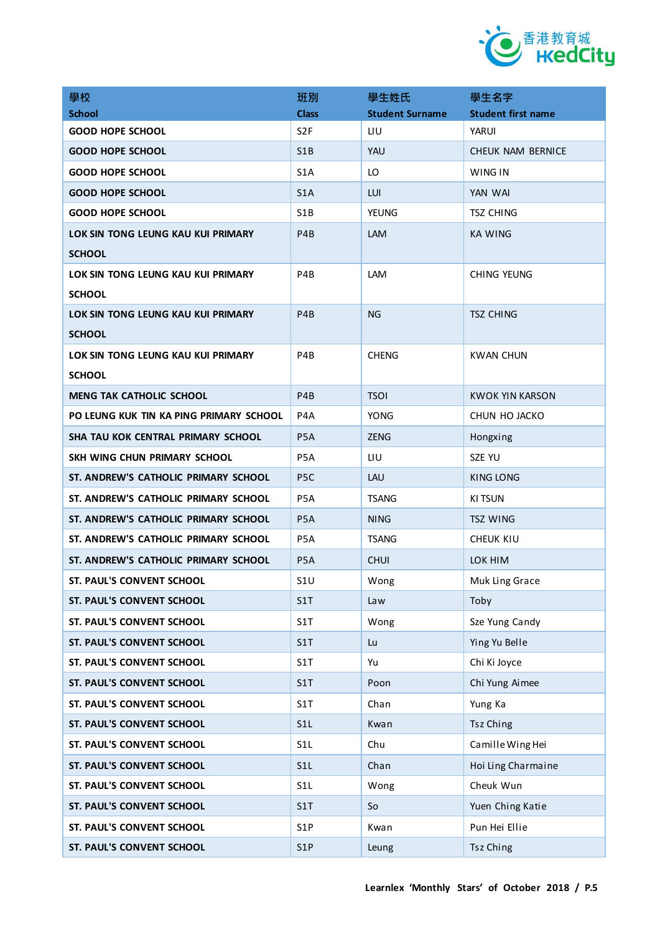

| 學校                                      | 班別               | 學生姓氏                   | 學生名字                      |
|-----------------------------------------|------------------|------------------------|---------------------------|
| <b>School</b>                           | <b>Class</b>     | <b>Student Surname</b> | <b>Student first name</b> |
| <b>GOOD HOPE SCHOOL</b>                 | S <sub>2F</sub>  | LIU                    | YARUI                     |
| <b>GOOD HOPE SCHOOL</b>                 | S1B              | YAU                    | CHEUK NAM BERNICE         |
| <b>GOOD HOPE SCHOOL</b>                 | S <sub>1</sub> A | LO                     | WING IN                   |
| <b>GOOD HOPE SCHOOL</b>                 | S <sub>1</sub> A | LUI                    | YAN WAI                   |
| <b>GOOD HOPE SCHOOL</b>                 | S <sub>1</sub> B | <b>YEUNG</b>           | TSZ CHING                 |
| LOK SIN TONG LEUNG KAU KUI PRIMARY      | P <sub>4</sub> B | <b>LAM</b>             | KA WING                   |
| <b>SCHOOL</b>                           |                  |                        |                           |
| LOK SIN TONG LEUNG KAU KUI PRIMARY      | P4B              | <b>LAM</b>             | CHING YEUNG               |
| <b>SCHOOL</b>                           |                  |                        |                           |
| LOK SIN TONG LEUNG KAU KUI PRIMARY      | P <sub>4</sub> B | <b>NG</b>              | <b>TSZ CHING</b>          |
| <b>SCHOOL</b>                           |                  |                        |                           |
| LOK SIN TONG LEUNG KAU KUI PRIMARY      | P4B              | <b>CHENG</b>           | <b>KWAN CHUN</b>          |
| <b>SCHOOL</b>                           |                  |                        |                           |
| <b>MENG TAK CATHOLIC SCHOOL</b>         | P <sub>4</sub> B | <b>TSOI</b>            | <b>KWOK YIN KARSON</b>    |
| PO LEUNG KUK TIN KA PING PRIMARY SCHOOL | P4A              | <b>YONG</b>            | CHUN HO JACKO             |
| SHA TAU KOK CENTRAL PRIMARY SCHOOL      | P5A              | <b>ZENG</b>            | Hongxing                  |
| SKH WING CHUN PRIMARY SCHOOL            | P <sub>5</sub> A | LIU                    | SZE YU                    |
| ST. ANDREW'S CATHOLIC PRIMARY SCHOOL    | P <sub>5</sub> C | LAU                    | KING LONG                 |
| ST. ANDREW'S CATHOLIC PRIMARY SCHOOL    | P <sub>5</sub> A | <b>TSANG</b>           | KI TSUN                   |
| ST. ANDREW'S CATHOLIC PRIMARY SCHOOL    | P <sub>5</sub> A | NING                   | <b>TSZ WING</b>           |
| ST. ANDREW'S CATHOLIC PRIMARY SCHOOL    | P <sub>5</sub> A | <b>TSANG</b>           | CHEUK KIU                 |
| ST. ANDREW'S CATHOLIC PRIMARY SCHOOL    | P <sub>5</sub> A | <b>CHUI</b>            | LOK HIM                   |
| <b>ST. PAUL'S CONVENT SCHOOL</b>        | S1U              | Wong                   | Muk Ling Grace            |
| ST. PAUL'S CONVENT SCHOOL               | S1T              | Law                    | Toby                      |
| ST. PAUL'S CONVENT SCHOOL               | S1T              | Wong                   | Sze Yung Candy            |
| ST. PAUL'S CONVENT SCHOOL               | S1T              | Lu                     | Ying Yu Belle             |
| ST. PAUL'S CONVENT SCHOOL               | S1T              | Yu                     | Chi Ki Joyce              |
| ST. PAUL'S CONVENT SCHOOL               | S1T              | Poon                   | Chi Yung Aimee            |
| ST. PAUL'S CONVENT SCHOOL               | S1T              | Chan                   | Yung Ka                   |
| ST. PAUL'S CONVENT SCHOOL               | S1L              | Kwan                   | Tsz Ching                 |
| ST. PAUL'S CONVENT SCHOOL               | S <sub>1</sub> L | Chu                    | Camille Wing Hei          |
| ST. PAUL'S CONVENT SCHOOL               | S <sub>1</sub> L | Chan                   | Hoi Ling Charmaine        |
| ST. PAUL'S CONVENT SCHOOL               | S <sub>1</sub> L | Wong                   | Cheuk Wun                 |
| ST. PAUL'S CONVENT SCHOOL               | S1T              | So                     | Yuen Ching Katie          |
| ST. PAUL'S CONVENT SCHOOL               | S <sub>1</sub> P | Kwan                   | Pun Hei Ellie             |
| ST. PAUL'S CONVENT SCHOOL               | S1P              | Leung                  | Tsz Ching                 |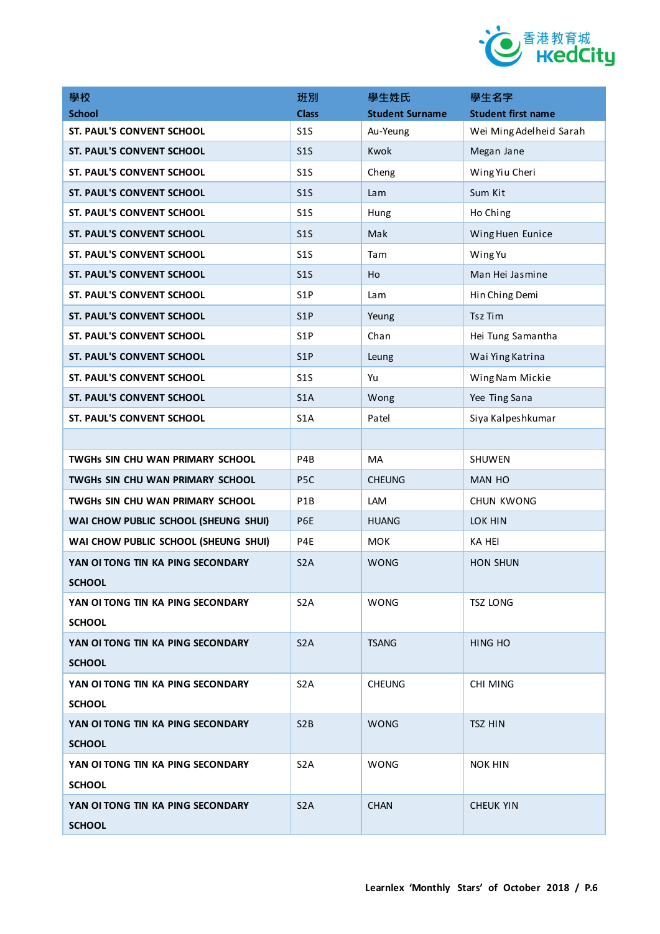

| 學校                                   | 班別               | 學生姓氏                   | 學生名字                      |
|--------------------------------------|------------------|------------------------|---------------------------|
| <b>School</b>                        | <b>Class</b>     | <b>Student Surname</b> | <b>Student first name</b> |
| <b>ST. PAUL'S CONVENT SCHOOL</b>     | S1S              | Au-Yeung               | Wei Ming Adelheid Sarah   |
| <b>ST. PAUL'S CONVENT SCHOOL</b>     | S1S              | Kwok                   | Megan Jane                |
| ST. PAUL'S CONVENT SCHOOL            | S1S              | Cheng                  | Wing Yiu Cheri            |
| ST. PAUL'S CONVENT SCHOOL            | S1S              | Lam                    | Sum Kit                   |
| ST. PAUL'S CONVENT SCHOOL            | S1S              | Hung                   | Ho Ching                  |
| ST. PAUL'S CONVENT SCHOOL            | S <sub>15</sub>  | Mak                    | Wing Huen Eunice          |
| ST. PAUL'S CONVENT SCHOOL            | S1S              | Tam                    | Wing Yu                   |
| ST. PAUL'S CONVENT SCHOOL            | S1S              | Ho                     | Man Hei Jasmine           |
| ST. PAUL'S CONVENT SCHOOL            | S <sub>1</sub> P | Lam                    | Hin Ching Demi            |
| <b>ST. PAUL'S CONVENT SCHOOL</b>     | S <sub>1</sub> P | Yeung                  | Tsz Tim                   |
| ST. PAUL'S CONVENT SCHOOL            | S <sub>1</sub> P | Chan                   | Hei Tung Samantha         |
| <b>ST. PAUL'S CONVENT SCHOOL</b>     | S <sub>1</sub> P | Leung                  | Wai Ying Katrina          |
| ST. PAUL'S CONVENT SCHOOL            | S1S              | Yu                     | Wing Nam Mickie           |
| ST. PAUL'S CONVENT SCHOOL            | S <sub>1</sub> A | Wong                   | Yee Ting Sana             |
| ST. PAUL'S CONVENT SCHOOL            | S <sub>1</sub> A | Patel                  | Siya Kalpeshkumar         |
|                                      |                  |                        |                           |
| TWGHS SIN CHU WAN PRIMARY SCHOOL     | P4B              | <b>MA</b>              | SHUWEN                    |
| TWGHS SIN CHU WAN PRIMARY SCHOOL     | P <sub>5</sub> C | <b>CHEUNG</b>          | <b>MAN HO</b>             |
| TWGHS SIN CHU WAN PRIMARY SCHOOL     | P <sub>1</sub> B | LAM                    | <b>CHUN KWONG</b>         |
| WAI CHOW PUBLIC SCHOOL (SHEUNG SHUI) | P6E              | <b>HUANG</b>           | LOK HIN                   |
| WAI CHOW PUBLIC SCHOOL (SHEUNG SHUI) | P4E              | <b>MOK</b>             | <b>KA HEI</b>             |
| YAN OI TONG TIN KA PING SECONDARY    | S <sub>2</sub> A | <b>WONG</b>            | <b>HON SHUN</b>           |
| <b>SCHOOL</b>                        |                  |                        |                           |
| YAN OI TONG TIN KA PING SECONDARY    | S <sub>2</sub> A | <b>WONG</b>            | <b>TSZ LONG</b>           |
| <b>SCHOOL</b>                        |                  |                        |                           |
| YAN OI TONG TIN KA PING SECONDARY    | S <sub>2</sub> A | <b>TSANG</b>           | <b>HING HO</b>            |
| <b>SCHOOL</b>                        |                  |                        |                           |
| YAN OI TONG TIN KA PING SECONDARY    | S <sub>2</sub> A | <b>CHEUNG</b>          | <b>CHI MING</b>           |
| <b>SCHOOL</b>                        |                  |                        |                           |
| YAN OI TONG TIN KA PING SECONDARY    | S <sub>2</sub> B | <b>WONG</b>            | <b>TSZ HIN</b>            |
| <b>SCHOOL</b>                        |                  |                        |                           |
| YAN OI TONG TIN KA PING SECONDARY    | S <sub>2</sub> A | <b>WONG</b>            | <b>NOK HIN</b>            |
| <b>SCHOOL</b>                        |                  |                        |                           |
| YAN OI TONG TIN KA PING SECONDARY    | S <sub>2</sub> A | <b>CHAN</b>            | CHEUK YIN                 |
| <b>SCHOOL</b>                        |                  |                        |                           |